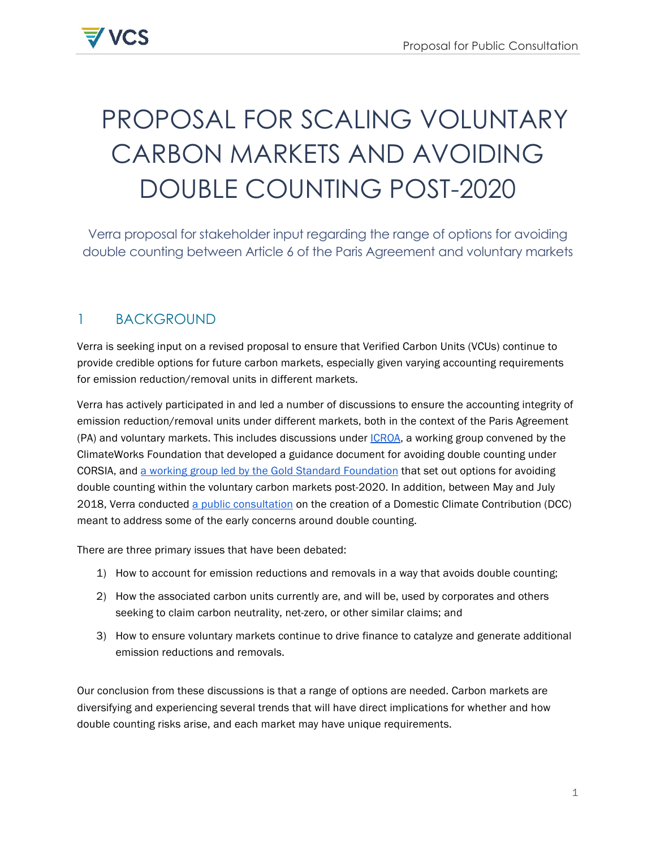# PROPOSAL FOR SCALING VOLUNTARY CARBON MARKETS AND AVOIDING DOUBLE COUNTING POST-2020

Verra proposal for stakeholder input regarding the range of options for avoiding double counting between Article 6 of the Paris Agreement and voluntary markets

# 1 BACKGROUND

Verra is seeking input on a revised proposal to ensure that Verified Carbon Units (VCUs) continue to provide credible options for future carbon markets, especially given varying accounting requirements for emission reduction/removal units in different markets.

Verra has actively participated in and led a number of discussions to ensure the accounting integrity of emission reduction/removal units under different markets, both in the context of the Paris Agreement (PA) and voluntary markets. This includes discussions under *ICROA*, a working group convened by the [ClimateWorks Foundation](https://www.adc-wg.org/) that developed a guidance document for avoiding double counting under CORSIA, and [a working group led by the Gold Standard Foundation](https://www.goldstandard.org/sites/default/files/documents/voluntary_carbon_market_post-2020_part_2.pdf) that set out options for avoiding double counting within the voluntary carbon markets post-2020. In addition, between May and July 2018, Verra conducted [a public consultation](https://verra.org/project/vcs-version-4-2018-public-consultation/) on the creation of a Domestic Climate Contribution (DCC) meant to address some of the early concerns around double counting.

There are three primary issues that have been debated:

- 1) How to account for emission reductions and removals in a way that avoids double counting;
- 2) How the associated carbon units currently are, and will be, used by corporates and others seeking to claim carbon neutrality, net-zero, or other similar claims; and
- 3) How to ensure voluntary markets continue to drive finance to catalyze and generate additional emission reductions and removals.

Our conclusion from these discussions is that a range of options are needed. Carbon markets are diversifying and experiencing several trends that will have direct implications for whether and how double counting risks arise, and each market may have unique requirements.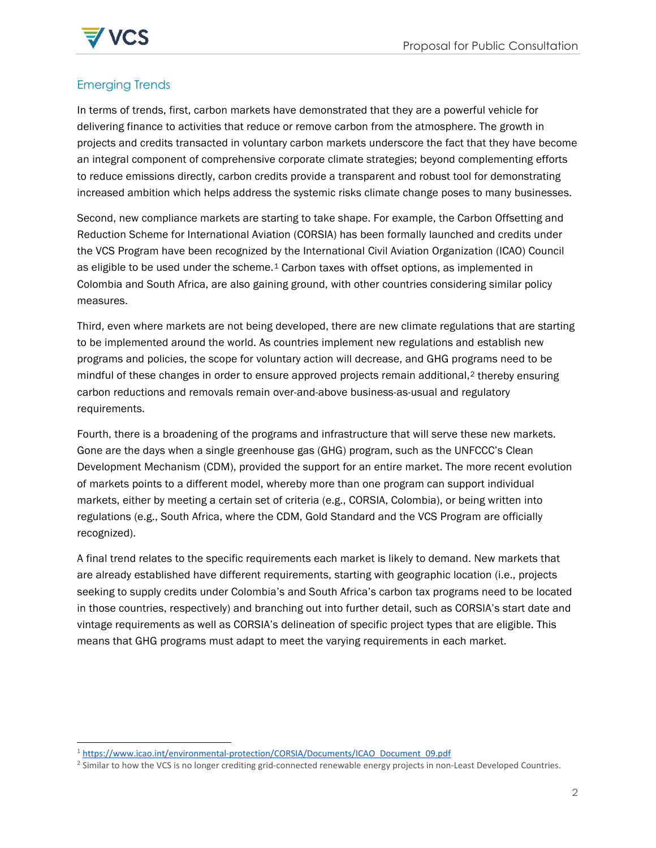

## Emerging Trends

In terms of trends, first, carbon markets have demonstrated that they are a powerful vehicle for delivering finance to activities that reduce or remove carbon from the atmosphere. The growth in projects and credits transacted in voluntary carbon markets underscore the fact that they have become an integral component of comprehensive corporate climate strategies; beyond complementing efforts to reduce emissions directly, carbon credits provide a transparent and robust tool for demonstrating increased ambition which helps address the systemic risks climate change poses to many businesses.

Second, new compliance markets are starting to take shape. For example, the Carbon Offsetting and Reduction Scheme for International Aviation (CORSIA) has been formally launched and credits under the VCS Program have been recognized by the International Civil Aviation Organization (ICAO) Council as eligible to be used under the scheme.[1](#page-1-0) Carbon taxes with offset options, as implemented in Colombia and South Africa, are also gaining ground, with other countries considering similar policy measures.

Third, even where markets are not being developed, there are new climate regulations that are starting to be implemented around the world. As countries implement new regulations and establish new programs and policies, the scope for voluntary action will decrease, and GHG programs need to be mindful of these changes in order to ensure approved projects remain additional,[2](#page-1-1) thereby ensuring carbon reductions and removals remain over-and-above business-as-usual and regulatory requirements.

Fourth, there is a broadening of the programs and infrastructure that will serve these new markets. Gone are the days when a single greenhouse gas (GHG) program, such as the UNFCCC's Clean Development Mechanism (CDM), provided the support for an entire market. The more recent evolution of markets points to a different model, whereby more than one program can support individual markets, either by meeting a certain set of criteria (e.g., CORSIA, Colombia), or being written into regulations (e.g., South Africa, where the CDM, Gold Standard and the VCS Program are officially recognized).

A final trend relates to the specific requirements each market is likely to demand. New markets that are already established have different requirements, starting with geographic location (i.e., projects seeking to supply credits under Colombia's and South Africa's carbon tax programs need to be located in those countries, respectively) and branching out into further detail, such as CORSIA's start date and vintage requirements as well as CORSIA's delineation of specific project types that are eligible. This means that GHG programs must adapt to meet the varying requirements in each market.

<span id="page-1-0"></span>j <sup>1</sup> [https://www.icao.int/environmental-protection/CORSIA/Documents/ICAO\\_Document\\_09.pdf](https://www.icao.int/environmental-protection/CORSIA/Documents/ICAO_Document_09.pdf)

<span id="page-1-1"></span><sup>&</sup>lt;sup>2</sup> Similar to how the VCS is no longer crediting grid-connected renewable energy projects in non-Least Developed Countries.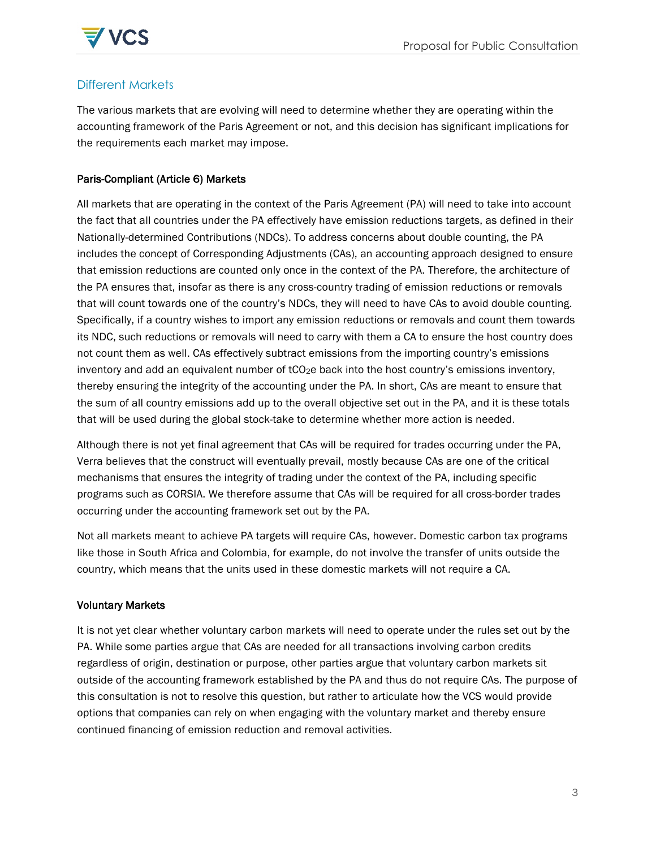

## Different Markets

The various markets that are evolving will need to determine whether they are operating within the accounting framework of the Paris Agreement or not, and this decision has significant implications for the requirements each market may impose.

### Paris-Compliant (Article 6) Markets

All markets that are operating in the context of the Paris Agreement (PA) will need to take into account the fact that all countries under the PA effectively have emission reductions targets, as defined in their Nationally-determined Contributions (NDCs). To address concerns about double counting, the PA includes the concept of Corresponding Adjustments (CAs), an accounting approach designed to ensure that emission reductions are counted only once in the context of the PA. Therefore, the architecture of the PA ensures that, insofar as there is any cross-country trading of emission reductions or removals that will count towards one of the country's NDCs, they will need to have CAs to avoid double counting. Specifically, if a country wishes to import any emission reductions or removals and count them towards its NDC, such reductions or removals will need to carry with them a CA to ensure the host country does not count them as well. CAs effectively subtract emissions from the importing country's emissions inventory and add an equivalent number of  $tCO<sub>2</sub>e$  back into the host country's emissions inventory, thereby ensuring the integrity of the accounting under the PA. In short, CAs are meant to ensure that the sum of all country emissions add up to the overall objective set out in the PA, and it is these totals that will be used during the global stock-take to determine whether more action is needed.

Although there is not yet final agreement that CAs will be required for trades occurring under the PA, Verra believes that the construct will eventually prevail, mostly because CAs are one of the critical mechanisms that ensures the integrity of trading under the context of the PA, including specific programs such as CORSIA. We therefore assume that CAs will be required for all cross-border trades occurring under the accounting framework set out by the PA.

Not all markets meant to achieve PA targets will require CAs, however. Domestic carbon tax programs like those in South Africa and Colombia, for example, do not involve the transfer of units outside the country, which means that the units used in these domestic markets will not require a CA.

#### Voluntary Markets

It is not yet clear whether voluntary carbon markets will need to operate under the rules set out by the PA. While some parties argue that CAs are needed for all transactions involving carbon credits regardless of origin, destination or purpose, other parties argue that voluntary carbon markets sit outside of the accounting framework established by the PA and thus do not require CAs. The purpose of this consultation is not to resolve this question, but rather to articulate how the VCS would provide options that companies can rely on when engaging with the voluntary market and thereby ensure continued financing of emission reduction and removal activities.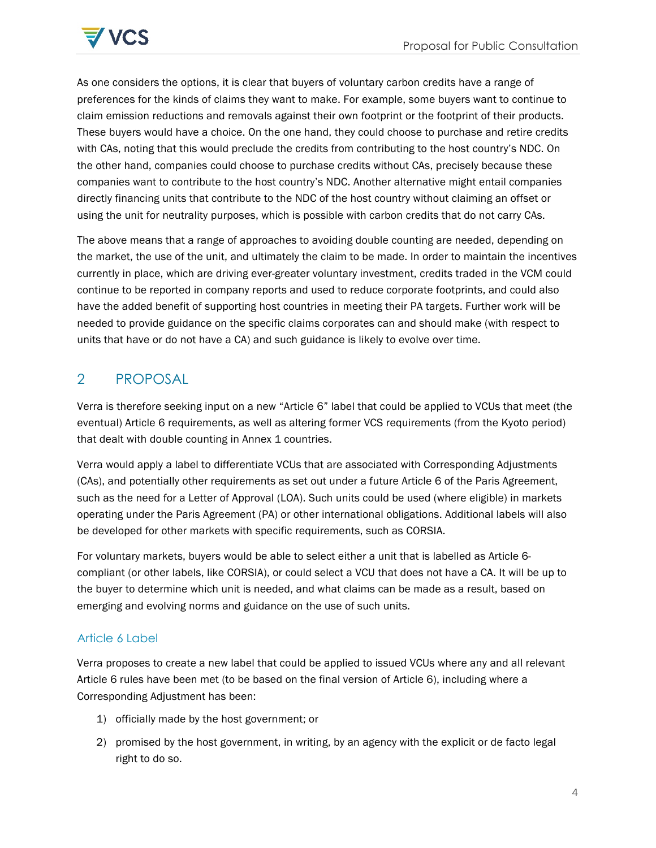

As one considers the options, it is clear that buyers of voluntary carbon credits have a range of preferences for the kinds of claims they want to make. For example, some buyers want to continue to claim emission reductions and removals against their own footprint or the footprint of their products. These buyers would have a choice. On the one hand, they could choose to purchase and retire credits with CAs, noting that this would preclude the credits from contributing to the host country's NDC. On the other hand, companies could choose to purchase credits without CAs, precisely because these companies want to contribute to the host country's NDC. Another alternative might entail companies directly financing units that contribute to the NDC of the host country without claiming an offset or using the unit for neutrality purposes, which is possible with carbon credits that do not carry CAs.

The above means that a range of approaches to avoiding double counting are needed, depending on the market, the use of the unit, and ultimately the claim to be made. In order to maintain the incentives currently in place, which are driving ever-greater voluntary investment, credits traded in the VCM could continue to be reported in company reports and used to reduce corporate footprints, and could also have the added benefit of supporting host countries in meeting their PA targets. Further work will be needed to provide guidance on the specific claims corporates can and should make (with respect to units that have or do not have a CA) and such guidance is likely to evolve over time.

# 2 PROPOSAL

Verra is therefore seeking input on a new "Article 6" label that could be applied to VCUs that meet (the eventual) Article 6 requirements, as well as altering former VCS requirements (from the Kyoto period) that dealt with double counting in Annex 1 countries.

Verra would apply a label to differentiate VCUs that are associated with Corresponding Adjustments (CAs), and potentially other requirements as set out under a future Article 6 of the Paris Agreement, such as the need for a Letter of Approval (LOA). Such units could be used (where eligible) in markets operating under the Paris Agreement (PA) or other international obligations. Additional labels will also be developed for other markets with specific requirements, such as CORSIA.

For voluntary markets, buyers would be able to select either a unit that is labelled as Article 6 compliant (or other labels, like CORSIA), or could select a VCU that does not have a CA. It will be up to the buyer to determine which unit is needed, and what claims can be made as a result, based on emerging and evolving norms and guidance on the use of such units.

## Article 6 Label

Verra proposes to create a new label that could be applied to issued VCUs where any and all relevant Article 6 rules have been met (to be based on the final version of Article 6), including where a Corresponding Adjustment has been:

- 1) officially made by the host government; or
- 2) promised by the host government, in writing, by an agency with the explicit or de facto legal right to do so.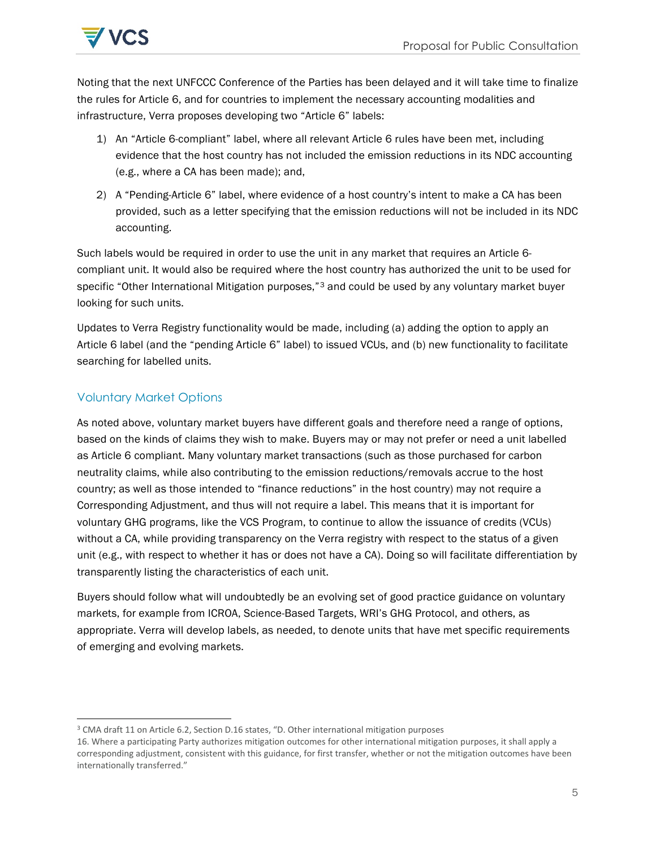

Noting that the next UNFCCC Conference of the Parties has been delayed and it will take time to finalize the rules for Article 6, and for countries to implement the necessary accounting modalities and infrastructure, Verra proposes developing two "Article 6" labels:

- 1) An "Article 6-compliant" label, where all relevant Article 6 rules have been met, including evidence that the host country has not included the emission reductions in its NDC accounting (e.g., where a CA has been made); and,
- 2) A "Pending-Article 6" label, where evidence of a host country's intent to make a CA has been provided, such as a letter specifying that the emission reductions will not be included in its NDC accounting.

Such labels would be required in order to use the unit in any market that requires an Article 6 compliant unit. It would also be required where the host country has authorized the unit to be used for specific "Other International Mitigation purposes,"<sup>[3](#page-4-0)</sup> and could be used by any voluntary market buyer looking for such units.

Updates to Verra Registry functionality would be made, including (a) adding the option to apply an Article 6 label (and the "pending Article 6" label) to issued VCUs, and (b) new functionality to facilitate searching for labelled units.

## Voluntary Market Options

As noted above, voluntary market buyers have different goals and therefore need a range of options, based on the kinds of claims they wish to make. Buyers may or may not prefer or need a unit labelled as Article 6 compliant. Many voluntary market transactions (such as those purchased for carbon neutrality claims, while also contributing to the emission reductions/removals accrue to the host country; as well as those intended to "finance reductions" in the host country) may not require a Corresponding Adjustment, and thus will not require a label. This means that it is important for voluntary GHG programs, like the VCS Program, to continue to allow the issuance of credits (VCUs) without a CA, while providing transparency on the Verra registry with respect to the status of a given unit (e.g., with respect to whether it has or does not have a CA). Doing so will facilitate differentiation by transparently listing the characteristics of each unit.

Buyers should follow what will undoubtedly be an evolving set of good practice guidance on voluntary markets, for example from ICROA, Science-Based Targets, WRI's GHG Protocol, and others, as appropriate. Verra will develop labels, as needed, to denote units that have met specific requirements of emerging and evolving markets.

<span id="page-4-0"></span><sup>-</sup><sup>3</sup> CMA draft 11 on Article 6.2, Section D.16 states, "D. Other international mitigation purposes

<sup>16.</sup> Where a participating Party authorizes mitigation outcomes for other international mitigation purposes, it shall apply a corresponding adjustment, consistent with this guidance, for first transfer, whether or not the mitigation outcomes have been internationally transferred."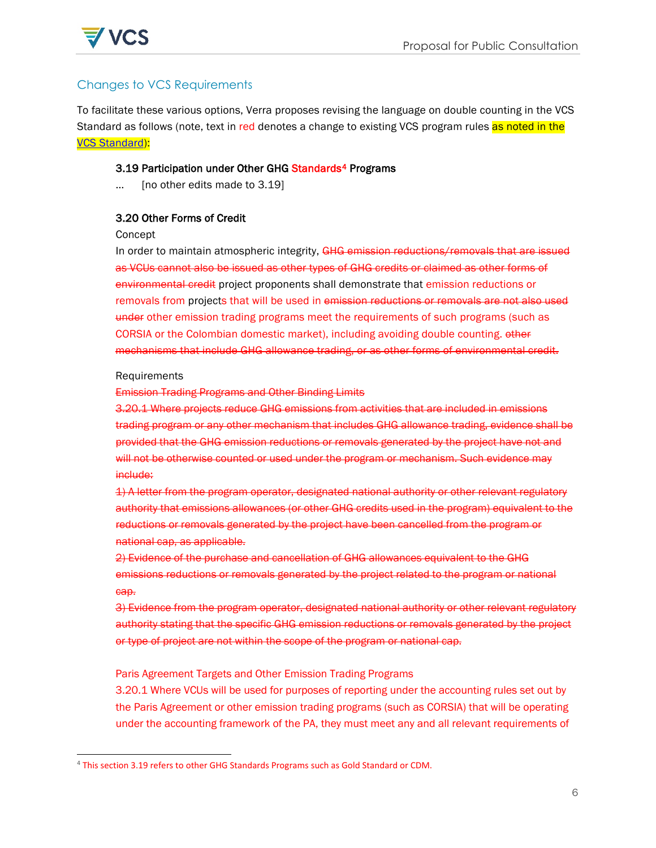

## Changes to VCS Requirements

To facilitate these various options, Verra proposes revising the language on double counting in the VCS Standard as follows (note, text in red denotes a change to existing VCS program rules as noted in the [VCS Standard\)](https://verra.org/wp-content/uploads/2020/03/VCS-Standard-v4.0_Updated.pdf):

#### 3.19 Participation under Other GHG Standards[4](#page-5-0) Programs

… [no other edits made to 3.19]

#### 3.20 Other Forms of Credit

#### Concept

In order to maintain atmospheric integrity, GHG emission reductions/removals that are issued as VCUs cannot also be issued as other types of GHG credits or claimed as other forms of environmental credit project proponents shall demonstrate that emission reductions or removals from projects that will be used in emission reductions or removals are not also used under other emission trading programs meet the requirements of such programs (such as CORSIA or the Colombian domestic market), including avoiding double counting. other mechanisms that include GHG allowance trading, or as other forms of environmental credit.

#### Requirements

-

Emission Trading Programs and Other Binding Limits

3.20.1 Where projects reduce GHG emissions from activities that are included in emissions trading program or any other mechanism that includes GHG allowance trading, evidence shall be provided that the GHG emission reductions or removals generated by the project have not and will not be otherwise counted or used under the program or mechanism. Such evidence may include:

1) A letter from the program operator, designated national authority or other relevant regulatory authority that emissions allowances (or other GHG credits used in the program) equivalent to the reductions or removals generated by the project have been cancelled from the program or national cap, as applicable.

2) Evidence of the purchase and cancellation of GHG allowances equivalent to the GHG emissions reductions or removals generated by the project related to the program or national cap.

3) Evidence from the program operator, designated national authority or other relevant regulatory authority stating that the specific GHG emission reductions or removals generated by the project or type of project are not within the scope of the program or national cap.

Paris Agreement Targets and Other Emission Trading Programs

3.20.1 Where VCUs will be used for purposes of reporting under the accounting rules set out by the Paris Agreement or other emission trading programs (such as CORSIA) that will be operating under the accounting framework of the PA, they must meet any and all relevant requirements of

<span id="page-5-0"></span><sup>4</sup> This section 3.19 refers to other GHG Standards Programs such as Gold Standard or CDM.